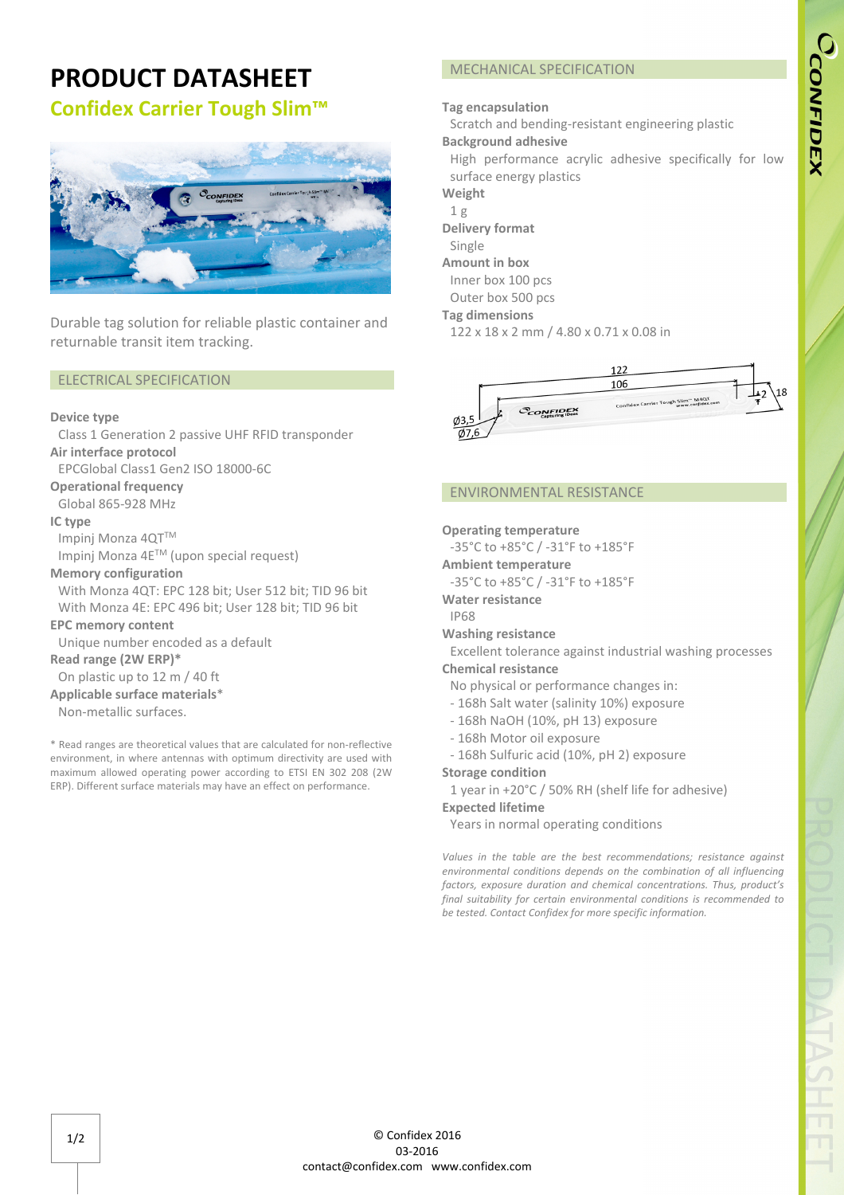# **PRODUCT DATASHEET Confidex Carrier Tough Slim™**



Durable tag solution for reliable plastic container and returnable transit item tracking.

## ELECTRICAL SPECIFICATION

### **Device type**

Class 1 Generation 2 passive UHF RFID transponder **Air interface protocol** 

EPCGlobal Class1 Gen2 ISO 18000-6C

### **Operational frequency**

Global 865-928 MHz

#### **IC type**

Impinj Monza 4QTTM

Impinj Monza 4ETM (upon special request)

#### **Memory configuration**

With Monza 4QT: EPC 128 bit; User 512 bit; TID 96 bit With Monza 4E: EPC 496 bit; User 128 bit; TID 96 bit

## **EPC memory content**

Unique number encoded as a default

## **Read range (2W ERP)\***

On plastic up to 12 m / 40 ft

**Applicable surface materials**\* Non-metallic surfaces.

\* Read ranges are theoretical values that are calculated for non-reflective environment, in where antennas with optimum directivity are used with maximum allowed operating power according to ETSI EN 302 208 (2W ERP). Different surface materials may have an effect on performance.

# MECHANICAL SPECIFICATION

## **Tag encapsulation**

Scratch and bending-resistant engineering plastic **Background adhesive**

High performance acrylic adhesive specifically for low surface energy plastics

**Weight**

- 1 g
- **Delivery format**

Single **Amount in box**

Inner box 100 pcs

Outer box 500 pcs

## **Tag dimensions**

122 x 18 x 2 mm / 4.80 x 0.71 x 0.08 in



## ENVIRONMENTAL RESISTANCE

#### **Operating temperature**

-35°C to +85°C / -31°F to +185°F

- **Ambient temperature**
- -35°C to +85°C / -31°F to +185°F
- **Water resistance**
- IP68

## **Washing resistance**

Excellent tolerance against industrial washing processes

# **Chemical resistance**

- No physical or performance changes in:
- 168h Salt water (salinity 10%) exposure
- 168h NaOH (10%, pH 13) exposure
- 168h Motor oil exposure
- 168h Sulfuric acid (10%, pH 2) exposure

### **Storage condition**

1 year in +20°C / 50% RH (shelf life for adhesive)

# **Expected lifetime**

Years in normal operating conditions

*Values in the table are the best recommendations; resistance against environmental conditions depends on the combination of all influencing factors, exposure duration and chemical concentrations. Thus, product's final suitability for certain environmental conditions is recommended to be tested. Contact Confidex for more specific information.*